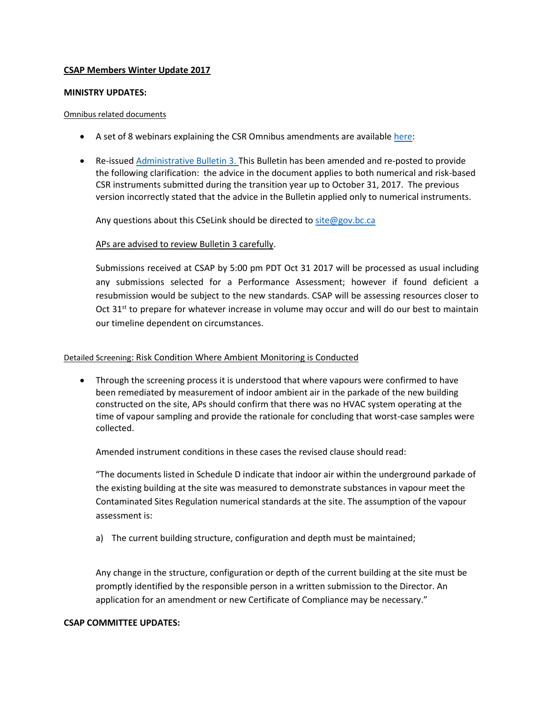# **CSAP Members Winter Update 2017**

#### **MINISTRY UPDATES:**

#### Omnibus related documents

- A set of 8 webinars explaining the CSR Omnibus amendments are available [here:](http://www2.gov.bc.ca/gov/content/environment/air-land-water/site-remediation/guidance-resources/presentations)
- Re-issue[d Administrative Bulletin 3.](http://www2.gov.bc.ca/assets/gov/environment/air-land-water/site-remediation/docs/bulletins/admin_bulletin_submission_guidance_stage_10_amendment.pdf) This Bulletin has been amended and re-posted to provide the following clarification: the advice in the document applies to both numerical and risk-based CSR instruments submitted during the transition year up to October 31, 2017. The previous version incorrectly stated that the advice in the Bulletin applied only to numerical instruments.

Any questions about this CSeLink should be directed to [site@gov.bc.ca](mailto:site@gov.bc.ca)

# APs are advised to review Bulletin 3 carefully.

Submissions received at CSAP by 5:00 pm PDT Oct 31 2017 will be processed as usual including any submissions selected for a Performance Assessment; however if found deficient a resubmission would be subject to the new standards. CSAP will be assessing resources closer to Oct  $31<sup>st</sup>$  to prepare for whatever increase in volume may occur and will do our best to maintain our timeline dependent on circumstances.

# Detailed Screening: Risk Condition Where Ambient Monitoring is Conducted

• Through the screening process it is understood that where vapours were confirmed to have been remediated by measurement of indoor ambient air in the parkade of the new building constructed on the site, APs should confirm that there was no HVAC system operating at the time of vapour sampling and provide the rationale for concluding that worst-case samples were collected.

Amended instrument conditions in these cases the revised clause should read:

"The documents listed in Schedule D indicate that indoor air within the underground parkade of the existing building at the site was measured to demonstrate substances in vapour meet the Contaminated Sites Regulation numerical standards at the site. The assumption of the vapour assessment is:

a) The current building structure, configuration and depth must be maintained;

Any change in the structure, configuration or depth of the current building at the site must be promptly identified by the responsible person in a written submission to the Director. An application for an amendment or new Certificate of Compliance may be necessary."

# **CSAP COMMITTEE UPDATES:**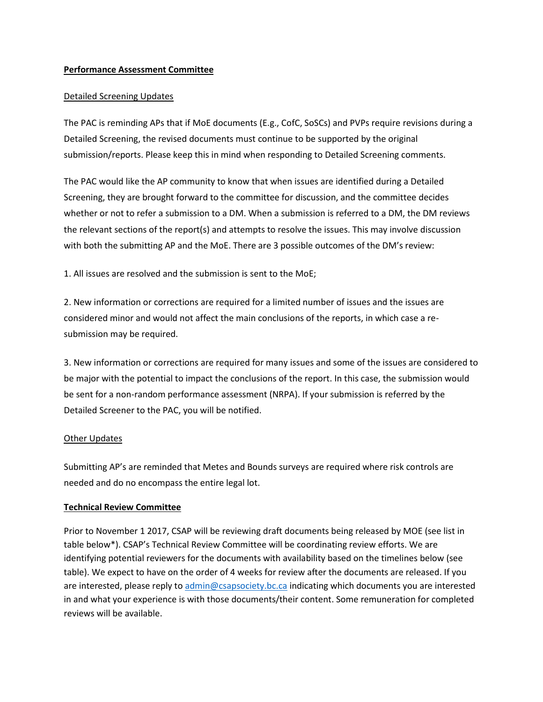#### **Performance Assessment Committee**

#### Detailed Screening Updates

The PAC is reminding APs that if MoE documents (E.g., CofC, SoSCs) and PVPs require revisions during a Detailed Screening, the revised documents must continue to be supported by the original submission/reports. Please keep this in mind when responding to Detailed Screening comments.

The PAC would like the AP community to know that when issues are identified during a Detailed Screening, they are brought forward to the committee for discussion, and the committee decides whether or not to refer a submission to a DM. When a submission is referred to a DM, the DM reviews the relevant sections of the report(s) and attempts to resolve the issues. This may involve discussion with both the submitting AP and the MoE. There are 3 possible outcomes of the DM's review:

1. All issues are resolved and the submission is sent to the MoE;

2. New information or corrections are required for a limited number of issues and the issues are considered minor and would not affect the main conclusions of the reports, in which case a resubmission may be required.

3. New information or corrections are required for many issues and some of the issues are considered to be major with the potential to impact the conclusions of the report. In this case, the submission would be sent for a non-random performance assessment (NRPA). If your submission is referred by the Detailed Screener to the PAC, you will be notified.

#### **Other Updates**

Submitting AP's are reminded that Metes and Bounds surveys are required where risk controls are needed and do no encompass the entire legal lot.

# **Technical Review Committee**

Prior to November 1 2017, CSAP will be reviewing draft documents being released by MOE (see list in table below\*). CSAP's Technical Review Committee will be coordinating review efforts. We are identifying potential reviewers for the documents with availability based on the timelines below (see table). We expect to have on the order of 4 weeks for review after the documents are released. If you are interested, please reply t[o admin@csapsociety.bc.ca](mailto:admin@csapsociety.bc.ca) indicating which documents you are interested in and what your experience is with those documents/their content. Some remuneration for completed reviews will be available.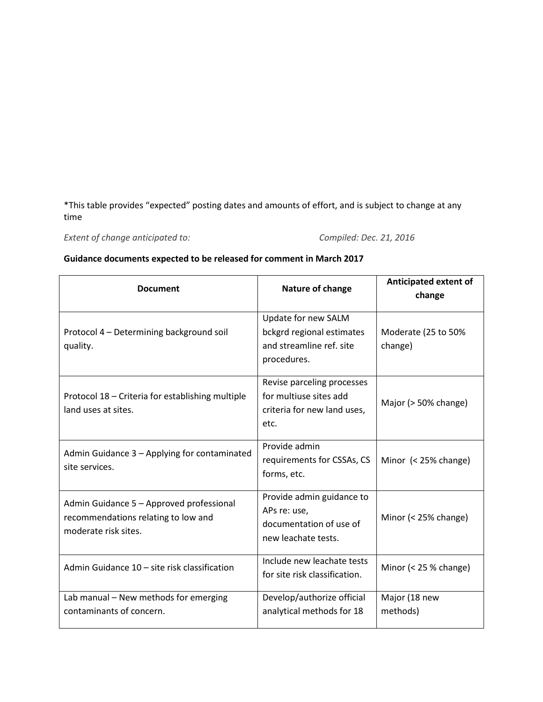\*This table provides "expected" posting dates and amounts of effort, and is subject to change at any time

*Extent of change anticipated to: Compiled: Dec. 21, 2016*

# **Guidance documents expected to be released for comment in March 2017**

| <b>Document</b>                                                                                         | Nature of change                                                                            | Anticipated extent of<br>change |
|---------------------------------------------------------------------------------------------------------|---------------------------------------------------------------------------------------------|---------------------------------|
| Protocol 4 - Determining background soil<br>quality.                                                    | Update for new SALM<br>bckgrd regional estimates<br>and streamline ref. site<br>procedures. | Moderate (25 to 50%<br>change)  |
| Protocol 18 - Criteria for establishing multiple<br>land uses at sites.                                 | Revise parceling processes<br>for multiuse sites add<br>criteria for new land uses,<br>etc. | Major (> 50% change)            |
| Admin Guidance 3 - Applying for contaminated<br>site services.                                          | Provide admin<br>requirements for CSSAs, CS<br>forms, etc.                                  | Minor (< 25% change)            |
| Admin Guidance 5 - Approved professional<br>recommendations relating to low and<br>moderate risk sites. | Provide admin guidance to<br>APs re: use,<br>documentation of use of<br>new leachate tests. | Minor (< 25% change)            |
| Admin Guidance 10 - site risk classification                                                            | Include new leachate tests<br>for site risk classification.                                 | Minor $(< 25 %$ change)         |
| Lab manual - New methods for emerging<br>contaminants of concern.                                       | Develop/authorize official<br>analytical methods for 18                                     | Major (18 new<br>methods)       |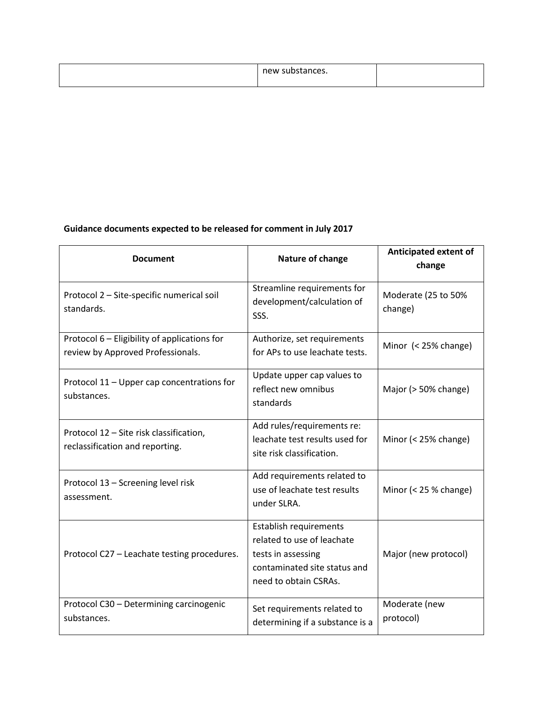| new substances.<br>$-$ - $-$ - $-$ - $-$ - $-$ |  |
|------------------------------------------------|--|
|                                                |  |

# **Guidance documents expected to be released for comment in July 2017**

| <b>Document</b>                                                                   | Nature of change                                                                                                                           | <b>Anticipated extent of</b><br>change |
|-----------------------------------------------------------------------------------|--------------------------------------------------------------------------------------------------------------------------------------------|----------------------------------------|
| Protocol 2 - Site-specific numerical soil<br>standards.                           | Streamline requirements for<br>development/calculation of<br>SSS.                                                                          | Moderate (25 to 50%<br>change)         |
| Protocol 6 - Eligibility of applications for<br>review by Approved Professionals. | Authorize, set requirements<br>for APs to use leachate tests.                                                                              | Minor (< 25% change)                   |
| Protocol 11 - Upper cap concentrations for<br>substances.                         | Update upper cap values to<br>reflect new omnibus<br>standards                                                                             | Major (> 50% change)                   |
| Protocol 12 - Site risk classification,<br>reclassification and reporting.        | Add rules/requirements re:<br>leachate test results used for<br>site risk classification.                                                  | Minor $(< 25\%$ change)                |
| Protocol 13 - Screening level risk<br>assessment.                                 | Add requirements related to<br>use of leachate test results<br>under SLRA.                                                                 | Minor (< 25 % change)                  |
| Protocol C27 - Leachate testing procedures.                                       | <b>Establish requirements</b><br>related to use of leachate<br>tests in assessing<br>contaminated site status and<br>need to obtain CSRAs. | Major (new protocol)                   |
| Protocol C30 - Determining carcinogenic<br>substances.                            | Set requirements related to<br>determining if a substance is a                                                                             | Moderate (new<br>protocol)             |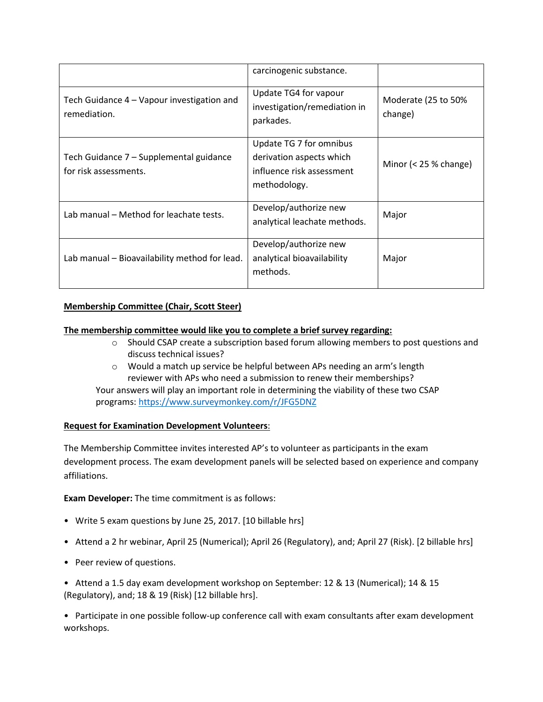|                                                                  | carcinogenic substance.                                                                          |                                |
|------------------------------------------------------------------|--------------------------------------------------------------------------------------------------|--------------------------------|
| Tech Guidance 4 – Vapour investigation and<br>remediation.       | Update TG4 for vapour<br>investigation/remediation in<br>parkades.                               | Moderate (25 to 50%<br>change) |
| Tech Guidance 7 – Supplemental guidance<br>for risk assessments. | Update TG 7 for omnibus<br>derivation aspects which<br>influence risk assessment<br>methodology. | Minor $(< 25 %$ change)        |
| Lab manual - Method for leachate tests.                          | Develop/authorize new<br>analytical leachate methods.                                            | Major                          |
| Lab manual - Bioavailability method for lead.                    | Develop/authorize new<br>analytical bioavailability<br>methods.                                  | Major                          |

# **Membership Committee (Chair, Scott Steer)**

#### **The membership committee would like you to complete a brief survey regarding:**

- o Should CSAP create a subscription based forum allowing members to post questions and discuss technical issues?
- $\circ$  Would a match up service be helpful between APs needing an arm's length reviewer with APs who need a submission to renew their memberships?

Your answers will play an important role in determining the viability of these two CSAP programs:<https://www.surveymonkey.com/r/JFG5DNZ>

# **Request for Examination Development Volunteers**:

The Membership Committee invites interested AP's to volunteer as participants in the exam development process. The exam development panels will be selected based on experience and company affiliations.

**Exam Developer:** The time commitment is as follows:

- Write 5 exam questions by June 25, 2017. [10 billable hrs]
- Attend a 2 hr webinar, April 25 (Numerical); April 26 (Regulatory), and; April 27 (Risk). [2 billable hrs]
- Peer review of questions.
- Attend a 1.5 day exam development workshop on September: 12 & 13 (Numerical); 14 & 15 (Regulatory), and; 18 & 19 (Risk) [12 billable hrs].

• Participate in one possible follow-up conference call with exam consultants after exam development workshops.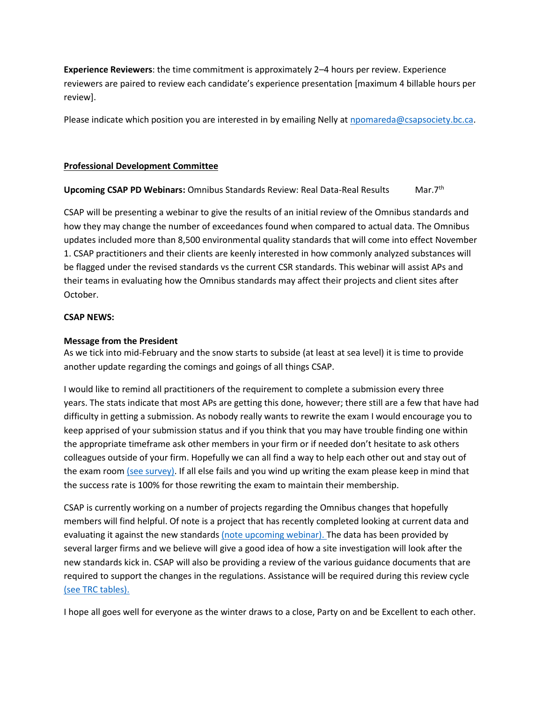**Experience Reviewers**: the time commitment is approximately 2–4 hours per review. Experience reviewers are paired to review each candidate's experience presentation [maximum 4 billable hours per review].

Please indicate which position you are interested in by emailing Nelly at noomareda@csapsociety.bc.ca.

# **Professional Development Committee**

# **Upcoming CSAP PD Webinars:** Omnibus Standards Review: Real Data-Real Results Mar.7th

CSAP will be presenting a webinar to give the results of an initial review of the Omnibus standards and how they may change the number of exceedances found when compared to actual data. The Omnibus updates included more than 8,500 environmental quality standards that will come into effect November 1. CSAP practitioners and their clients are keenly interested in how commonly analyzed substances will be flagged under the revised standards vs the current CSR standards. This webinar will assist APs and their teams in evaluating how the Omnibus standards may affect their projects and client sites after October.

# **CSAP NEWS:**

# **Message from the President**

As we tick into mid-February and the snow starts to subside (at least at sea level) it is time to provide another update regarding the comings and goings of all things CSAP.

I would like to remind all practitioners of the requirement to complete a submission every three years. The stats indicate that most APs are getting this done, however; there still are a few that have had difficulty in getting a submission. As nobody really wants to rewrite the exam I would encourage you to keep apprised of your submission status and if you think that you may have trouble finding one within the appropriate timeframe ask other members in your firm or if needed don't hesitate to ask others colleagues outside of your firm. Hopefully we can all find a way to help each other out and stay out of the exam room [\(see survey\).](https://www.surveymonkey.com/r/JFG5DNZ) If all else fails and you wind up writing the exam please keep in mind that the success rate is 100% for those rewriting the exam to maintain their membership.

CSAP is currently working on a number of projects regarding the Omnibus changes that hopefully members will find helpful. Of note is a project that has recently completed looking at current data and evaluating it against the new standard[s \(note upcoming webinar\).](http://csapsociety.bc.ca/events/) The data has been provided by several larger firms and we believe will give a good idea of how a site investigation will look after the new standards kick in. CSAP will also be providing a review of the various guidance documents that are required to support the changes in the regulations. Assistance will be required during this review cycle [\(see TRC tables\).](http://csapsociety.bc.ca/wp/wp-content/uploads/Extent-of-change-anticipated-to-002.pdf)

I hope all goes well for everyone as the winter draws to a close, Party on and be Excellent to each other.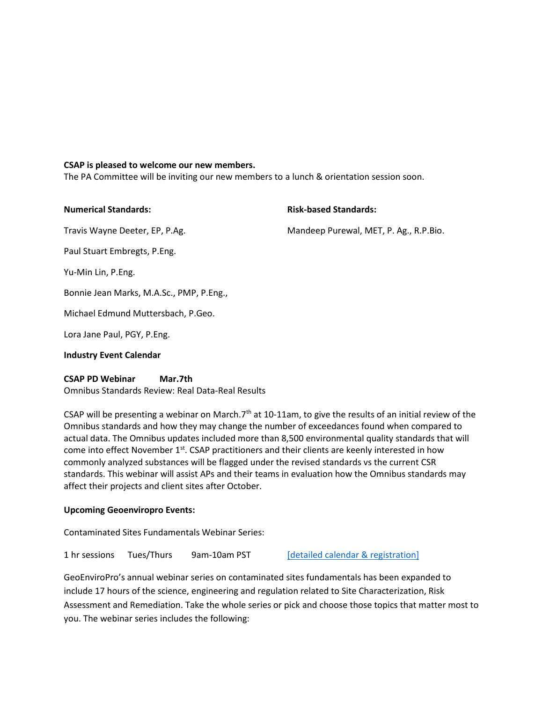#### **CSAP is pleased to welcome our new members.**

The PA Committee will be inviting our new members to a lunch & orientation session soon.

| <b>Numerical Standards:</b>              | <b>Risk-based Standards:</b>           |
|------------------------------------------|----------------------------------------|
| Travis Wayne Deeter, EP, P.Ag.           | Mandeep Purewal, MET, P. Ag., R.P.Bio. |
| Paul Stuart Embregts, P.Eng.             |                                        |
| Yu-Min Lin, P.Eng.                       |                                        |
| Bonnie Jean Marks, M.A.Sc., PMP, P.Eng., |                                        |
| Michael Edmund Muttersbach, P.Geo.       |                                        |
| Lora Jane Paul, PGY, P.Eng.              |                                        |
| <b>Industry Event Calendar</b>           |                                        |

#### **CSAP PD Webinar Mar.7th**

Omnibus Standards Review: Real Data-Real Results

CSAP will be presenting a webinar on March.7<sup>th</sup> at 10-11am, to give the results of an initial review of the Omnibus standards and how they may change the number of exceedances found when compared to actual data. The Omnibus updates included more than 8,500 environmental quality standards that will come into effect November 1<sup>st</sup>. CSAP practitioners and their clients are keenly interested in how commonly analyzed substances will be flagged under the revised standards vs the current CSR standards. This webinar will assist APs and their teams in evaluation how the Omnibus standards may affect their projects and client sites after October.

# **Upcoming Geoenviropro Events:**

Contaminated Sites Fundamentals Webinar Series:

1 hr sessions Tues/Thurs 9am-10am PST [\[detailed calendar & registration\]](http://geoenviropro.com/webinar/)

GeoEnviroPro's annual webinar series on contaminated sites fundamentals has been expanded to include 17 hours of the science, engineering and regulation related to Site Characterization, Risk Assessment and Remediation. Take the whole series or pick and choose those topics that matter most to you. The webinar series includes the following: